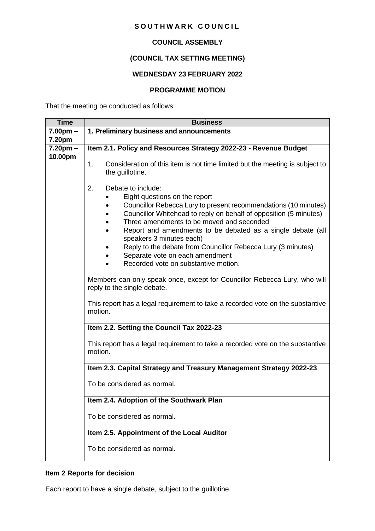### SOUTHWARK COUNCIL

## **COUNCIL ASSEMBLY**

# **(COUNCIL TAX SETTING MEETING)**

## **WEDNESDAY 23 FEBRUARY 2022**

#### **PROGRAMME MOTION**

That the meeting be conducted as follows:

| <b>Time</b>              | <b>Business</b>                                                                                                                                                                                                                                                                                                                                                                                                        |  |  |  |
|--------------------------|------------------------------------------------------------------------------------------------------------------------------------------------------------------------------------------------------------------------------------------------------------------------------------------------------------------------------------------------------------------------------------------------------------------------|--|--|--|
| $7.00pm -$               | 1. Preliminary business and announcements                                                                                                                                                                                                                                                                                                                                                                              |  |  |  |
| 7.20pm                   |                                                                                                                                                                                                                                                                                                                                                                                                                        |  |  |  |
| $7.20$ pm $-$<br>10.00pm | Item 2.1. Policy and Resources Strategy 2022-23 - Revenue Budget                                                                                                                                                                                                                                                                                                                                                       |  |  |  |
|                          | Consideration of this item is not time limited but the meeting is subject to<br>1.<br>the guillotine.                                                                                                                                                                                                                                                                                                                  |  |  |  |
|                          | 2.<br>Debate to include:<br>Eight questions on the report                                                                                                                                                                                                                                                                                                                                                              |  |  |  |
|                          | Councillor Rebecca Lury to present recommendations (10 minutes)<br>Councillor Whitehead to reply on behalf of opposition (5 minutes)<br>٠<br>Three amendments to be moved and seconded                                                                                                                                                                                                                                 |  |  |  |
|                          | Report and amendments to be debated as a single debate (all<br>speakers 3 minutes each)<br>Reply to the debate from Councillor Rebecca Lury (3 minutes)                                                                                                                                                                                                                                                                |  |  |  |
|                          | Separate vote on each amendment<br>Recorded vote on substantive motion.                                                                                                                                                                                                                                                                                                                                                |  |  |  |
|                          | Members can only speak once, except for Councillor Rebecca Lury, who will<br>reply to the single debate.<br>This report has a legal requirement to take a recorded vote on the substantive<br>motion.<br>Item 2.2. Setting the Council Tax 2022-23<br>This report has a legal requirement to take a recorded vote on the substantive<br>motion.<br>Item 2.3. Capital Strategy and Treasury Management Strategy 2022-23 |  |  |  |
|                          |                                                                                                                                                                                                                                                                                                                                                                                                                        |  |  |  |
|                          |                                                                                                                                                                                                                                                                                                                                                                                                                        |  |  |  |
|                          |                                                                                                                                                                                                                                                                                                                                                                                                                        |  |  |  |
|                          |                                                                                                                                                                                                                                                                                                                                                                                                                        |  |  |  |
|                          | To be considered as normal.                                                                                                                                                                                                                                                                                                                                                                                            |  |  |  |
|                          | Item 2.4. Adoption of the Southwark Plan<br>To be considered as normal.<br>Item 2.5. Appointment of the Local Auditor                                                                                                                                                                                                                                                                                                  |  |  |  |
|                          |                                                                                                                                                                                                                                                                                                                                                                                                                        |  |  |  |
|                          |                                                                                                                                                                                                                                                                                                                                                                                                                        |  |  |  |
|                          | To be considered as normal.                                                                                                                                                                                                                                                                                                                                                                                            |  |  |  |

## **Item 2 Reports for decision**

Each report to have a single debate, subject to the guillotine.